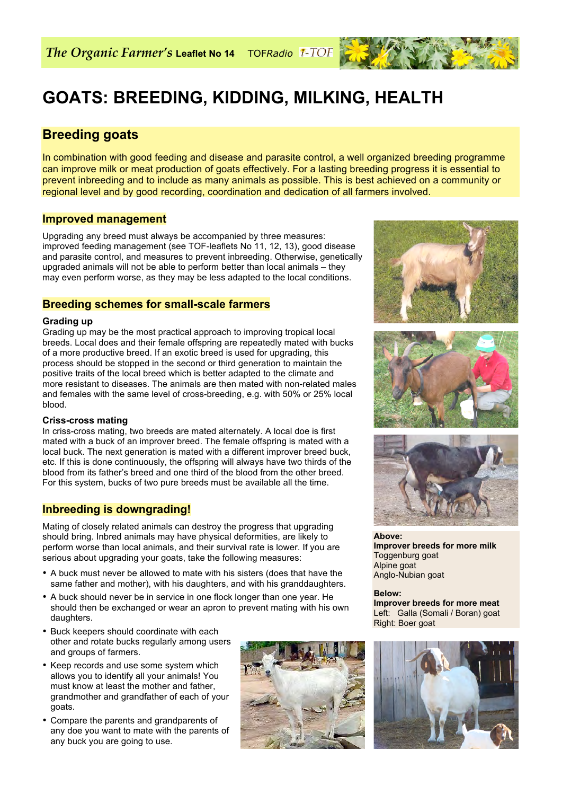# **GOATS: BREEDING, KIDDING, MILKING, HEALTH**

# **Breeding goats**

In combination with good feeding and disease and parasite control, a well organized breeding programme can improve milk or meat production of goats effectively. For a lasting breeding progress it is essential to prevent inbreeding and to include as many animals as possible. This is best achieved on a community or regional level and by good recording, coordination and dedication of all farmers involved.

# **Improved management**

Upgrading any breed must always be accompanied by three measures: improved feeding management (see TOF-leaflets No 11, 12, 13), good disease and parasite control, and measures to prevent inbreeding. Otherwise, genetically upgraded animals will not be able to perform better than local animals – they may even perform worse, as they may be less adapted to the local conditions.

# **Breeding schemes for small-scale farmers**

## **Grading up**

Grading up may be the most practical approach to improving tropical local breeds. Local does and their female offspring are repeatedly mated with bucks of a more productive breed. If an exotic breed is used for upgrading, this process should be stopped in the second or third generation to maintain the positive traits of the local breed which is better adapted to the climate and more resistant to diseases. The animals are then mated with non-related males and females with the same level of cross-breeding, e.g. with 50% or 25% local blood.

#### **Criss-cross mating**

In criss-cross mating, two breeds are mated alternately. A local doe is first mated with a buck of an improver breed. The female offspring is mated with a local buck. The next generation is mated with a different improver breed buck, etc. If this is done continuously, the offspring will always have two thirds of the blood from its father's breed and one third of the blood from the other breed. For this system, bucks of two pure breeds must be available all the time.

# **Inbreeding is downgrading!**

Mating of closely related animals can destroy the progress that upgrading should bring. Inbred animals may have physical deformities, are likely to perform worse than local animals, and their survival rate is lower. If you are serious about upgrading your goats, take the following measures:

- A buck must never be allowed to mate with his sisters (does that have the same father and mother), with his daughters, and with his granddaughters.
- A buck should never be in service in one flock longer than one year. He should then be exchanged or wear an apron to prevent mating with his own daughters.
- Buck keepers should coordinate with each other and rotate bucks regularly among users and groups of farmers.
- Keep records and use some system which allows you to identify all your animals! You must know at least the mother and father, grandmother and grandfather of each of your goats.
- Compare the parents and grandparents of any doe you want to mate with the parents of any buck you are going to use.









**Above: Improver breeds for more milk** Toggenburg goat Alpine goat Anglo-Nubian goat

**Below: Improver breeds for more meat** Left: Galla (Somali / Boran) goat Right: Boer goat



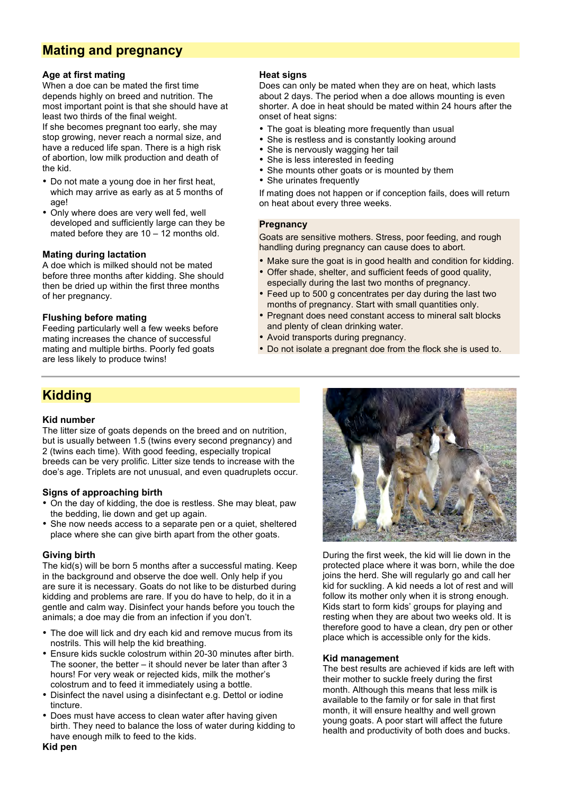# **Mating and pregnancy**

## **Age at first mating**

When a doe can be mated the first time depends highly on breed and nutrition. The most important point is that she should have at least two thirds of the final weight.

If she becomes pregnant too early, she may stop growing, never reach a normal size, and have a reduced life span. There is a high risk of abortion, low milk production and death of the kid.

- Do not mate a young doe in her first heat, which may arrive as early as at 5 months of age!
- Only where does are very well fed, well developed and sufficiently large can they be mated before they are  $10 - 12$  months old.

## **Mating during lactation**

A doe which is milked should not be mated before three months after kidding. She should then be dried up within the first three months of her pregnancy.

#### **Flushing before mating**

Feeding particularly well a few weeks before mating increases the chance of successful mating and multiple births. Poorly fed goats are less likely to produce twins!

## **Heat signs**

Does can only be mated when they are on heat, which lasts about 2 days. The period when a doe allows mounting is even shorter. A doe in heat should be mated within 24 hours after the onset of heat signs:

- The goat is bleating more frequently than usual
- She is restless and is constantly looking around
- She is nervously wagging her tail
- She is less interested in feeding
- She mounts other goats or is mounted by them
- She urinates frequently

If mating does not happen or if conception fails, does will return on heat about every three weeks.

#### **Pregnancy**

Goats are sensitive mothers. Stress, poor feeding, and rough handling during pregnancy can cause does to abort.

- Make sure the goat is in good health and condition for kidding.
- Offer shade, shelter, and sufficient feeds of good quality, especially during the last two months of pregnancy.
- Feed up to 500 g concentrates per day during the last two months of pregnancy. Start with small quantities only.
- Pregnant does need constant access to mineral salt blocks and plenty of clean drinking water.
- Avoid transports during pregnancy.
- Do not isolate a pregnant doe from the flock she is used to.

# **Kidding**

# **Kid number**

The litter size of goats depends on the breed and on nutrition, but is usually between 1.5 (twins every second pregnancy) and 2 (twins each time). With good feeding, especially tropical breeds can be very prolific. Litter size tends to increase with the doe's age. Triplets are not unusual, and even quadruplets occur.

#### **Signs of approaching birth**

- On the day of kidding, the doe is restless. She may bleat, paw the bedding, lie down and get up again.
- She now needs access to a separate pen or a quiet, sheltered place where she can give birth apart from the other goats.

# **Giving birth**

The kid(s) will be born 5 months after a successful mating. Keep in the background and observe the doe well. Only help if you are sure it is necessary. Goats do not like to be disturbed during kidding and problems are rare. If you do have to help, do it in a gentle and calm way. Disinfect your hands before you touch the animals; a doe may die from an infection if you don't.

- The doe will lick and dry each kid and remove mucus from its nostrils. This will help the kid breathing.
- Ensure kids suckle colostrum within 20-30 minutes after birth. The sooner, the better – it should never be later than after 3 hours! For very weak or rejected kids, milk the mother's colostrum and to feed it immediately using a bottle.
- Disinfect the navel using a disinfectant e.g. Dettol or iodine tincture.
- Does must have access to clean water after having given birth. They need to balance the loss of water during kidding to have enough milk to feed to the kids.



During the first week, the kid will lie down in the protected place where it was born, while the doe joins the herd. She will regularly go and call her kid for suckling. A kid needs a lot of rest and will follow its mother only when it is strong enough. Kids start to form kids' groups for playing and resting when they are about two weeks old. It is therefore good to have a clean, dry pen or other place which is accessible only for the kids.

#### **Kid management**

The best results are achieved if kids are left with their mother to suckle freely during the first month. Although this means that less milk is available to the family or for sale in that first month, it will ensure healthy and well grown young goats. A poor start will affect the future health and productivity of both does and bucks.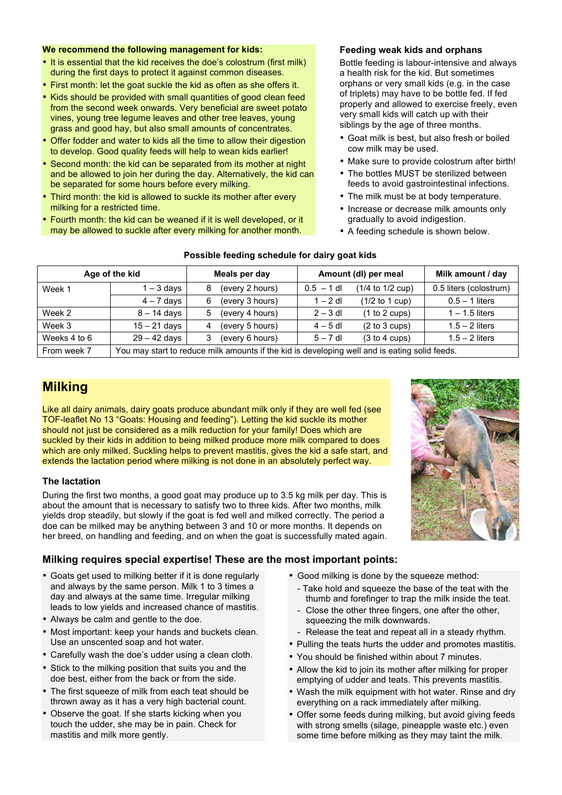#### **We recommend the following management for kids:**

- It is essential that the kid receives the doe's colostrum (first milk) during the first days to protect it against common diseases.
- First month: let the goat suckle the kid as often as she offers it.
- Kids should be provided with small quantities of good clean feed from the second week onwards. Very beneficial are sweet potato vines, young tree legume leaves and other tree leaves, young grass and good hay, but also small amounts of concentrates.
- Offer fodder and water to kids all the time to allow their digestion to develop. Good quality feeds will help to wean kids earlier!
- Second month: the kid can be separated from its mother at night and be allowed to join her during the day. Alternatively, the kid can be separated for some hours before every milking.
- Third month: the kid is allowed to suckle its mother after every milking for a restricted time.
- Fourth month: the kid can be weaned if it is well developed, or it may be allowed to suckle after every milking for another month.

## **Feeding weak kids and orphans**

Bottle feeding is labour-intensive and always a health risk for the kid. But sometimes orphans or very small kids (e.g. in the case of triplets) may have to be bottle fed. If fed properly and allowed to exercise freely, even very small kids will catch up with their siblings by the age of three months.

- Goat milk is best, but also fresh or boiled cow milk may be used.
- Make sure to provide colostrum after birth!
- The bottles MUST be sterilized between feeds to avoid gastrointestinal infections.
- The milk must be at body temperature.
- Increase or decrease milk amounts only gradually to avoid indigestion.
- A feeding schedule is shown below.

| Age of the kid |                                                                                               | Meals per day        | Amount (dl) per meal             | Milk amount / day      |
|----------------|-----------------------------------------------------------------------------------------------|----------------------|----------------------------------|------------------------|
| Week 1         | . – 3 days                                                                                    | (every 2 hours)<br>8 | (1/4 to 1/2 cup)<br>$0.5 - 1$ dl | 0.5 liters (colostrum) |
|                | $4 - 7$ days                                                                                  | (every 3 hours)<br>6 | $(1/2$ to 1 cup)<br>$1 - 2$ dl   | $0.5 - 1$ liters       |
| Week 2         | $8 - 14$ days                                                                                 | (every 4 hours)<br>5 | $2 - 3$ dl<br>(1 to 2 cups)      | $1 - 1.5$ liters       |
| Week 3         | $15 - 21$ days                                                                                | (every 5 hours)<br>4 | $4-5$ dl<br>(2 to 3 cups)        | $1.5 - 2$ liters       |
| Weeks 4 to 6   | $29 - 42$ days                                                                                | (every 6 hours)<br>3 | (3 to 4 cups)<br>$5 - 7$ dl      | $1.5 - 2$ liters       |
| From week 7    | You may start to reduce milk amounts if the kid is developing well and is eating solid feeds. |                      |                                  |                        |

# **Possible feeding schedule for dairy goat kids**

# **Milking**

Like all dairy animals, dairy goats produce abundant milk only if they are well fed (see TOF-leaflet No 13 "Goats: Housing and feeding"). Letting the kid suckle its mother should not just be considered as a milk reduction for your family! Does which are suckled by their kids in addition to being milked produce more milk compared to does which are only milked. Suckling helps to prevent mastitis, gives the kid a safe start, and extends the lactation period where milking is not done in an absolutely perfect way.

#### **The lactation**

During the first two months, a good goat may produce up to 3.5 kg milk per day. This is about the amount that is necessary to satisfy two to three kids. After two months, milk yields drop steadily, but slowly if the goat is fed well and milked correctly. The period a doe can be milked may be anything between 3 and 10 or more months. It depends on her breed, on handling and feeding, and on when the goat is successfully mated again.



#### **Milking requires special expertise! These are the most important points:**

- Goats get used to milking better if it is done regularly and always by the same person. Milk 1 to 3 times a day and always at the same time. Irregular milking leads to low yields and increased chance of mastitis.
- Always be calm and gentle to the doe.
- Most important: keep your hands and buckets clean. Use an unscented soap and hot water.
- Carefully wash the doe's udder using a clean cloth.
- Stick to the milking position that suits you and the doe best, either from the back or from the side.
- The first squeeze of milk from each teat should be thrown away as it has a very high bacterial count.
- Observe the goat. If she starts kicking when you touch the udder, she may be in pain. Check for mastitis and milk more gently.
- Good milking is done by the squeeze method:
	- Take hold and squeeze the base of the teat with the thumb and forefinger to trap the milk inside the teat.
	- Close the other three fingers, one after the other, squeezing the milk downwards.
- Release the teat and repeat all in a steady rhythm.
- Pulling the teats hurts the udder and promotes mastitis.
- You should be finished within about 7 minutes.
- Allow the kid to join its mother after milking for proper emptying of udder and teats. This prevents mastitis.
- Wash the milk equipment with hot water. Rinse and dry everything on a rack immediately after milking.
- Offer some feeds during milking, but avoid giving feeds with strong smells (silage, pineapple waste etc.) even some time before milking as they may taint the milk.